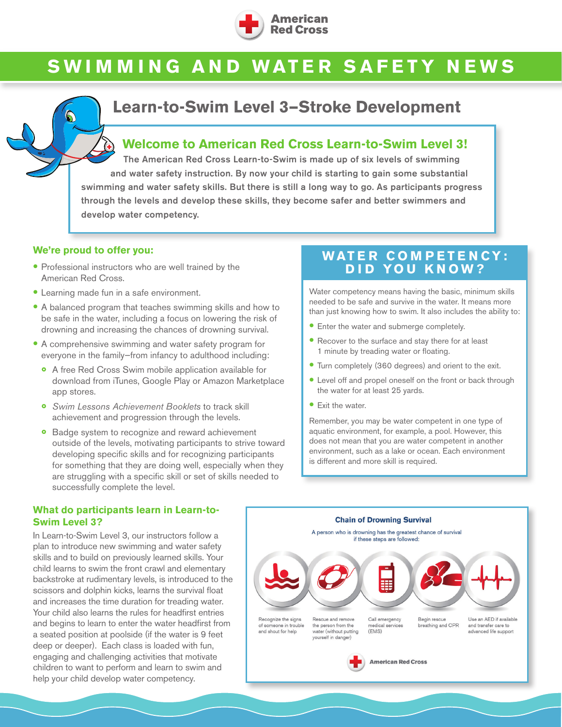

# **SWIMMING AND WATER SAFETY NEWS**

## **Learn-to-Swim Level 3—Stroke Development**

#### **Welcome to American Red Cross Learn-to-Swim Level 3!**

The American Red Cross Learn-to-Swim is made up of six levels of swimming and water safety instruction. By now your child is starting to gain some substantial swimming and water safety skills. But there is still a long way to go. As participants progress through the levels and develop these skills, they become safer and better swimmers and develop water competency.

#### **We're proud to offer you:**

- Professional instructors who are well trained by the American Red Cross.
- Learning made fun in a safe environment.
- A balanced program that teaches swimming skills and how to be safe in the water, including a focus on lowering the risk of drowning and increasing the chances of drowning survival.
- A comprehensive swimming and water safety program for everyone in the family—from infancy to adulthood including:
	- ◦<sup>A</sup> free Red Cross Swim mobile application available for download from iTunes, Google Play or Amazon Marketplace app stores.
	- *Swim Lessons Achievement Booklets* to track skill achievement and progression through the levels.
	- ◦ Badge system to recognize and reward achievement outside of the levels, motivating participants to strive toward developing specific skills and for recognizing participants for something that they are doing well, especially when they are struggling with a specific skill or set of skills needed to successfully complete the level.

### **WATER COMPETENCY: DID YOU KNOW?**

Water competency means having the basic, minimum skills needed to be safe and survive in the water. It means more than just knowing how to swim. It also includes the ability to:

- **•** Enter the water and submerge completely.
- Recover to the surface and stay there for at least 1 minute by treading water or floating.
- Turn completely (360 degrees) and orient to the exit.
- Level off and propel oneself on the front or back through the water for at least 25 yards.
- Exit the water.

Remember, you may be water competent in one type of aquatic environment, for example, a pool. However, this does not mean that you are water competent in another environment, such as a lake or ocean. Each environment is different and more skill is required.

#### **Chain of Drowning Survival** A person who is drowning has the greatest chance of survival if these steps are followed: 囍 Call emergency Use an AED if available Recognize the signs Rescue and remove Begin rescue eathing and CPR of someone in trouble the person from the edical services and transfer care to  $(FMS)$ and shout for help advanced life support water (without putting yourself in danger) **American Red Cross**

#### **What do participants learn in Learn-to-Swim Level 3?**

In Learn-to-Swim Level 3, our instructors follow a plan to introduce new swimming and water safety skills and to build on previously learned skills. Your child learns to swim the front crawl and elementary backstroke at rudimentary levels, is introduced to the scissors and dolphin kicks, learns the survival float and increases the time duration for treading water. Your child also learns the rules for headfirst entries and begins to learn to enter the water headfirst from a seated position at poolside (if the water is 9 feet deep or deeper). Each class is loaded with fun, engaging and challenging activities that motivate children to want to perform and learn to swim and help your child develop water competency.